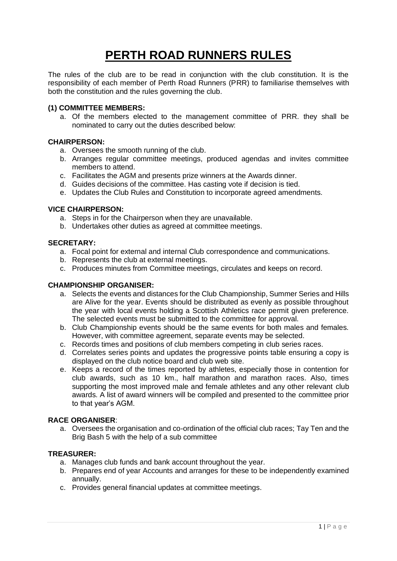# **PERTH ROAD RUNNERS RULES**

The rules of the club are to be read in conjunction with the club constitution. It is the responsibility of each member of Perth Road Runners (PRR) to familiarise themselves with both the constitution and the rules governing the club.

## **(1) COMMITTEE MEMBERS:**

a. Of the members elected to the management committee of PRR. they shall be nominated to carry out the duties described below:

## **CHAIRPERSON:**

- a. Oversees the smooth running of the club.
- b. Arranges regular committee meetings, produced agendas and invites committee members to attend.
- c. Facilitates the AGM and presents prize winners at the Awards dinner.
- d. Guides decisions of the committee. Has casting vote if decision is tied.
- e. Updates the Club Rules and Constitution to incorporate agreed amendments.

## **VICE CHAIRPERSON:**

- a. Steps in for the Chairperson when they are unavailable.
- b. Undertakes other duties as agreed at committee meetings.

## **SECRETARY:**

- a. Focal point for external and internal Club correspondence and communications.
- b. Represents the club at external meetings.
- c. Produces minutes from Committee meetings, circulates and keeps on record.

# **CHAMPIONSHIP ORGANISER:**

- a. Selects the events and distances for the Club Championship, Summer Series and Hills are Alive for the year. Events should be distributed as evenly as possible throughout the year with local events holding a Scottish Athletics race permit given preference. The selected events must be submitted to the committee for approval.
- b. Club Championship events should be the same events for both males and females. However, with committee agreement, separate events may be selected.
- c. Records times and positions of club members competing in club series races.
- d. Correlates series points and updates the progressive points table ensuring a copy is displayed on the club notice board and club web site.
- e. Keeps a record of the times reported by athletes, especially those in contention for club awards, such as 10 km., half marathon and marathon races. Also, times supporting the most improved male and female athletes and any other relevant club awards. A list of award winners will be compiled and presented to the committee prior to that year's AGM.

## **RACE ORGANISER**:

a. Oversees the organisation and co-ordination of the official club races; Tay Ten and the Brig Bash 5 with the help of a sub committee

#### **TREASURER:**

- a. Manages club funds and bank account throughout the year.
- b. Prepares end of year Accounts and arranges for these to be independently examined annually.
- c. Provides general financial updates at committee meetings.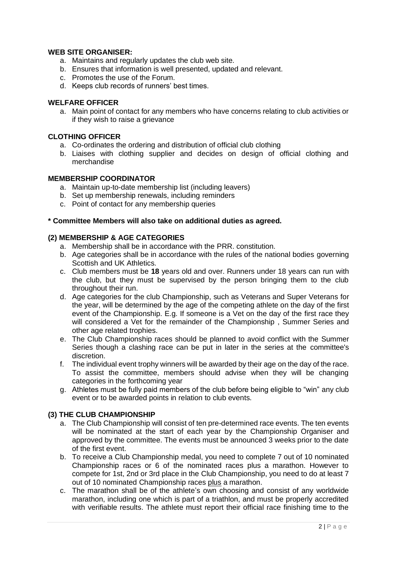## **WEB SITE ORGANISER:**

- a. Maintains and regularly updates the club web site.
- b. Ensures that information is well presented, updated and relevant.
- c. Promotes the use of the Forum.
- d. Keeps club records of runners' best times.

## **WELFARE OFFICER**

a. Main point of contact for any members who have concerns relating to club activities or if they wish to raise a grievance

## **CLOTHING OFFICER**

- a. Co-ordinates the ordering and distribution of official club clothing
- b. Liaises with clothing supplier and decides on design of official clothing and merchandise

## **MEMBERSHIP COORDINATOR**

- a. Maintain up-to-date membership list (including leavers)
- b. Set up membership renewals, including reminders
- c. Point of contact for any membership queries

#### **\* Committee Members will also take on additional duties as agreed.**

## **(2) MEMBERSHIP & AGE CATEGORIES**

- a. Membership shall be in accordance with the PRR. constitution.
- b. Age categories shall be in accordance with the rules of the national bodies governing Scottish and UK Athletics.
- c. Club members must be **18** years old and over. Runners under 18 years can run with the club, but they must be supervised by the person bringing them to the club throughout their run.
- d. Age categories for the club Championship, such as Veterans and Super Veterans for the year, will be determined by the age of the competing athlete on the day of the first event of the Championship. E.g. If someone is a Vet on the day of the first race they will considered a Vet for the remainder of the Championship , Summer Series and other age related trophies.
- e. The Club Championship races should be planned to avoid conflict with the Summer Series though a clashing race can be put in later in the series at the committee's discretion.
- f. The individual event trophy winners will be awarded by their age on the day of the race. To assist the committee, members should advise when they will be changing categories in the forthcoming year
- g. Athletes must be fully paid members of the club before being eligible to "win" any club event or to be awarded points in relation to club events.

# **(3) THE CLUB CHAMPIONSHIP**

- a. The Club Championship will consist of ten pre-determined race events. The ten events will be nominated at the start of each year by the Championship Organiser and approved by the committee. The events must be announced 3 weeks prior to the date of the first event.
- b. To receive a Club Championship medal, you need to complete 7 out of 10 nominated Championship races or 6 of the nominated races plus a marathon. However to compete for 1st, 2nd or 3rd place in the Club Championship, you need to do at least 7 out of 10 nominated Championship races plus a marathon.
- c. The marathon shall be of the athlete's own choosing and consist of any worldwide marathon, including one which is part of a triathlon, and must be properly accredited with verifiable results. The athlete must report their official race finishing time to the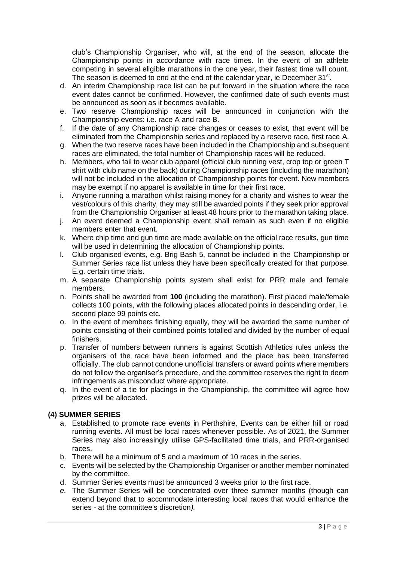club's Championship Organiser, who will, at the end of the season, allocate the Championship points in accordance with race times. In the event of an athlete competing in several eligible marathons in the one year, their fastest time will count. The season is deemed to end at the end of the calendar year, ie December 31<sup>st</sup>.

- d. An interim Championship race list can be put forward in the situation where the race event dates cannot be confirmed. However, the confirmed date of such events must be announced as soon as it becomes available.
- e. Two reserve Championship races will be announced in conjunction with the Championship events: i.e. race A and race B.
- f. If the date of any Championship race changes or ceases to exist, that event will be eliminated from the Championship series and replaced by a reserve race, first race A.
- g. When the two reserve races have been included in the Championship and subsequent races are eliminated, the total number of Championship races will be reduced.
- h. Members, who fail to wear club apparel (official club running vest, crop top or green T shirt with club name on the back) during Championship races (including the marathon) will not be included in the allocation of Championship points for event. New members may be exempt if no apparel is available in time for their first race.
- i. Anyone running a marathon whilst raising money for a charity and wishes to wear the vest/colours of this charity, they may still be awarded points if they seek prior approval from the Championship Organiser at least 48 hours prior to the marathon taking place.
- j. An event deemed a Championship event shall remain as such even if no eligible members enter that event.
- k. Where chip time and gun time are made available on the official race results, gun time will be used in determining the allocation of Championship points.
- l. Club organised events, e.g. Brig Bash 5, cannot be included in the Championship or Summer Series race list unless they have been specifically created for that purpose. E.g. certain time trials.
- m. A separate Championship points system shall exist for PRR male and female members.
- n. Points shall be awarded from **100** (including the marathon). First placed male/female collects 100 points, with the following places allocated points in descending order, i.e. second place 99 points etc.
- o. In the event of members finishing equally, they will be awarded the same number of points consisting of their combined points totalled and divided by the number of equal finishers.
- p. Transfer of numbers between runners is against Scottish Athletics rules unless the organisers of the race have been informed and the place has been transferred officially. The club cannot condone unofficial transfers or award points where members do not follow the organiser's procedure, and the committee reserves the right to deem infringements as misconduct where appropriate.
- q. In the event of a tie for placings in the Championship, the committee will agree how prizes will be allocated.

# **(4) SUMMER SERIES**

- a. Established to promote race events in Perthshire, Events can be either hill or road running events. All must be local races whenever possible. As of 2021, the Summer Series may also increasingly utilise GPS-facilitated time trials, and PRR-organised races.
- b. There will be a minimum of 5 and a maximum of 10 races in the series.
- c. Events will be selected by the Championship Organiser or another member nominated by the committee.
- d. Summer Series events must be announced 3 weeks prior to the first race.
- *e.* The Summer Series will be concentrated over three summer months (though can extend beyond that to accommodate interesting local races that would enhance the series - at the committee's discretion*).*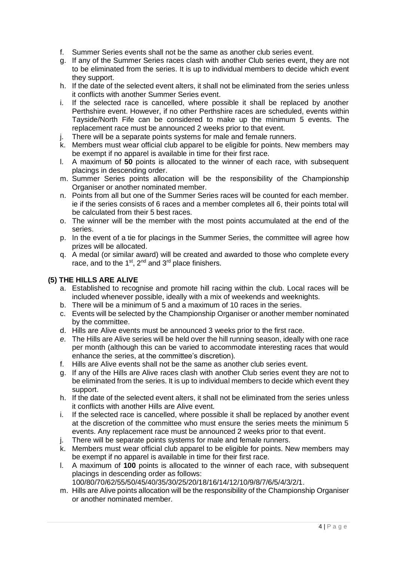- f. Summer Series events shall not be the same as another club series event.
- g. If any of the Summer Series races clash with another Club series event, they are not to be eliminated from the series. It is up to individual members to decide which event they support.
- h. If the date of the selected event alters, it shall not be eliminated from the series unless it conflicts with another Summer Series event.
- i. If the selected race is cancelled, where possible it shall be replaced by another Perthshire event. However, if no other Perthshire races are scheduled, events within Tayside/North Fife can be considered to make up the minimum 5 events. The replacement race must be announced 2 weeks prior to that event.
- j. There will be a separate points systems for male and female runners.
- k. Members must wear official club apparel to be eligible for points. New members may be exempt if no apparel is available in time for their first race.
- l. A maximum of **50** points is allocated to the winner of each race, with subsequent placings in descending order.
- m. Summer Series points allocation will be the responsibility of the Championship Organiser or another nominated member.
- n. Points from all but one of the Summer Series races will be counted for each member. ie if the series consists of 6 races and a member completes all 6, their points total will be calculated from their 5 best races.
- o. The winner will be the member with the most points accumulated at the end of the series.
- p. In the event of a tie for placings in the Summer Series, the committee will agree how prizes will be allocated.
- q. A medal (or similar award) will be created and awarded to those who complete every race, and to the  $1<sup>st</sup>$ ,  $2<sup>nd</sup>$  and  $3<sup>rd</sup>$  place finishers.

# **(5) THE HILLS ARE ALIVE**

- a. Established to recognise and promote hill racing within the club. Local races will be included whenever possible, ideally with a mix of weekends and weeknights.
- b. There will be a minimum of 5 and a maximum of 10 races in the series.
- c. Events will be selected by the Championship Organiser or another member nominated by the committee.
- d. Hills are Alive events must be announced 3 weeks prior to the first race.
- *e.* The Hills are Alive series will be held over the hill running season, ideally with one race per month (although this can be varied to accommodate interesting races that would enhance the series, at the committee's discretion)*.*
- f. Hills are Alive events shall not be the same as another club series event.
- g. If any of the Hills are Alive races clash with another Club series event they are not to be eliminated from the series. It is up to individual members to decide which event they support.
- h. If the date of the selected event alters, it shall not be eliminated from the series unless it conflicts with another Hills are Alive event.
- i. If the selected race is cancelled, where possible it shall be replaced by another event at the discretion of the committee who must ensure the series meets the minimum 5 events. Any replacement race must be announced 2 weeks prior to that event.
- j. There will be separate points systems for male and female runners.
- k. Members must wear official club apparel to be eligible for points. New members may be exempt if no apparel is available in time for their first race.
- l. A maximum of **100** points is allocated to the winner of each race, with subsequent placings in descending order as follows:

100/80/70/62/55/50/45/40/35/30/25/20/18/16/14/12/10/9/8/7/6/5/4/3/2/1.

m. Hills are Alive points allocation will be the responsibility of the Championship Organiser or another nominated member.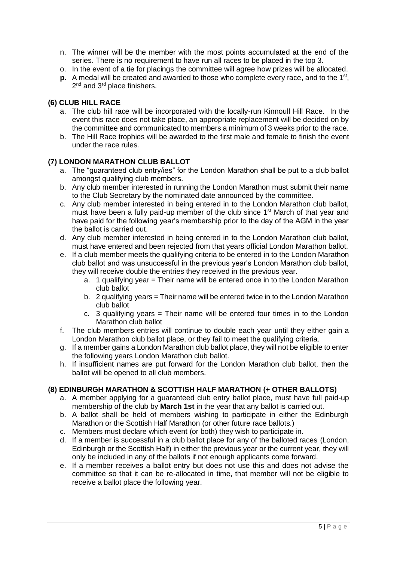- n. The winner will be the member with the most points accumulated at the end of the series. There is no requirement to have run all races to be placed in the top 3.
- o. In the event of a tie for placings the committee will agree how prizes will be allocated.
- **p.** A medal will be created and awarded to those who complete every race, and to the 1<sup>st</sup>, 2<sup>nd</sup> and 3<sup>rd</sup> place finishers.

# **(6) CLUB HILL RACE**

- a. The club hill race will be incorporated with the locally-run Kinnoull Hill Race. In the event this race does not take place, an appropriate replacement will be decided on by the committee and communicated to members a minimum of 3 weeks prior to the race.
- b. The Hill Race trophies will be awarded to the first male and female to finish the event under the race rules.

# **(7) LONDON MARATHON CLUB BALLOT**

- a. The "guaranteed club entry/ies" for the London Marathon shall be put to a club ballot amongst qualifying club members.
- b. Any club member interested in running the London Marathon must submit their name to the Club Secretary by the nominated date announced by the committee.
- c. Any club member interested in being entered in to the London Marathon club ballot, must have been a fully paid-up member of the club since 1<sup>st</sup> March of that year and have paid for the following year's membership prior to the day of the AGM in the year the ballot is carried out.
- d. Any club member interested in being entered in to the London Marathon club ballot, must have entered and been rejected from that years official London Marathon ballot.
- e. If a club member meets the qualifying criteria to be entered in to the London Marathon club ballot and was unsuccessful in the previous year's London Marathon club ballot, they will receive double the entries they received in the previous year.
	- a. 1 qualifying year = Their name will be entered once in to the London Marathon club ballot
	- b. 2 qualifying years = Their name will be entered twice in to the London Marathon club ballot
	- c. 3 qualifying years  $=$  Their name will be entered four times in to the London Marathon club ballot
- f. The club members entries will continue to double each year until they either gain a London Marathon club ballot place, or they fail to meet the qualifying criteria.
- g. If a member gains a London Marathon club ballot place, they will not be eligible to enter the following years London Marathon club ballot.
- h. If insufficient names are put forward for the London Marathon club ballot, then the ballot will be opened to all club members.

# **(8) EDINBURGH MARATHON & SCOTTISH HALF MARATHON (+ OTHER BALLOTS)**

- a. A member applying for a guaranteed club entry ballot place, must have full paid-up membership of the club by **March 1st** in the year that any ballot is carried out.
- b. A ballot shall be held of members wishing to participate in either the Edinburgh Marathon or the Scottish Half Marathon (or other future race ballots.)
- c. Members must declare which event (or both) they wish to participate in.
- d. If a member is successful in a club ballot place for any of the balloted races (London, Edinburgh or the Scottish Half) in either the previous year or the current year, they will only be included in any of the ballots if not enough applicants come forward.
- e. If a member receives a ballot entry but does not use this and does not advise the committee so that it can be re-allocated in time, that member will not be eligible to receive a ballot place the following year.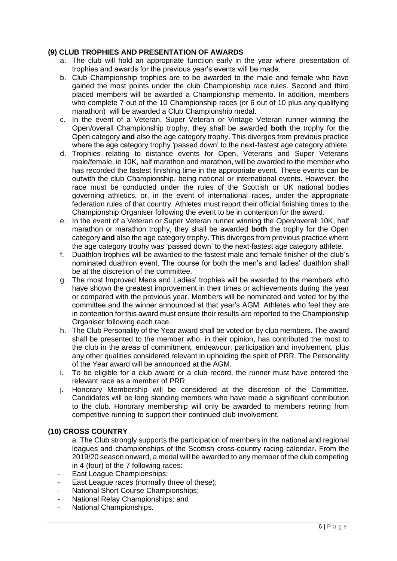# **(9) CLUB TROPHIES AND PRESENTATION OF AWARDS**

- a. The club will hold an appropriate function early in the year where presentation of trophies and awards for the previous year's events will be made.
- b. Club Championship trophies are to be awarded to the male and female who have gained the most points under the club Championship race rules. Second and third placed members will be awarded a Championship memento. In addition, members who complete 7 out of the 10 Championship races (or 6 out of 10 plus any qualifying marathon) will be awarded a Club Championship medal.
- c. In the event of a Veteran, Super Veteran or Vintage Veteran runner winning the Open/overall Championship trophy, they shall be awarded **both** the trophy for the Open category **and** also the age category trophy. This diverges from previous practice where the age category trophy 'passed down' to the next-fastest age category athlete.
- d. Trophies relating to distance events for Open, Veterans and Super Veterans male/female, ie 10K, half marathon and marathon, will be awarded to the member who has recorded the fastest finishing time in the appropriate event. These events can be outwith the club Championship, being national or international events. However, the race must be conducted under the rules of the Scottish or UK national bodies governing athletics, or, in the event of international races, under the appropriate federation rules of that country. Athletes must report their official finishing times to the Championship Organiser following the event to be in contention for the award.
- e. In the event of a Veteran or Super Veteran runner winning the Open/overall 10K, half marathon or marathon trophy, they shall be awarded **both** the trophy for the Open category **and** also the age category trophy. This diverges from previous practice where the age category trophy was 'passed down' to the next-fastest age category athlete.
- f. Duathlon trophies will be awarded to the fastest male and female finisher of the club's nominated duathlon event. The course for both the men's and ladies' duathlon shall be at the discretion of the committee.
- g. The most Improved Mens and Ladies' trophies will be awarded to the members who have shown the greatest improvement in their times or achievements during the year or compared with the previous year. Members will be nominated and voted for by the committee and the winner announced at that year's AGM. Athletes who feel they are in contention for this award must ensure their results are reported to the Championship Organiser following each race.
- h. The Club Personality of the Year award shall be voted on by club members. The award shall be presented to the member who, in their opinion, has contributed the most to the club in the areas of commitment, endeavour, participation and involvement, plus any other qualities considered relevant in upholding the spirit of PRR. The Personality of the Year award will be announced at the AGM.
- i. To be eligible for a club award or a club record, the runner must have entered the relevant race as a member of PRR.
- j. Honorary Membership will be considered at the discretion of the Committee. Candidates will be long standing members who have made a significant contribution to the club. Honorary membership will only be awarded to members retiring from competitive running to support their continued club involvement.

#### **(10) CROSS COUNTRY**

a. The Club strongly supports the participation of members in the national and regional leagues and championships of the Scottish cross-country racing calendar. From the 2019/20 season onward, a medal will be awarded to any member of the club competing in 4 (four) of the 7 following races:

- East League Championships;
- East League races (normally three of these);
- National Short Course Championships;
- National Relay Championships; and
- National Championships.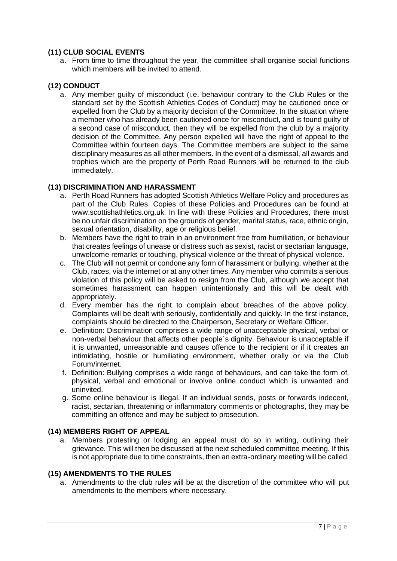# **(11) CLUB SOCIAL EVENTS**

a. From time to time throughout the year, the committee shall organise social functions which members will be invited to attend.

# **(12) CONDUCT**

a. Any member guilty of misconduct (i.e. behaviour contrary to the Club Rules or the standard set by the Scottish Athletics Codes of Conduct) may be cautioned once or expelled from the Club by a majority decision of the Committee. In the situation where a member who has already been cautioned once for misconduct, and is found guilty of a second case of misconduct, then they will be expelled from the club by a majority decision of the Committee. Any person expelled will have the right of appeal to the Committee within fourteen days. The Committee members are subject to the same disciplinary measures as all other members. In the event of a dismissal, all awards and trophies which are the property of Perth Road Runners will be returned to the club immediately.

## **(13) DISCRIMINATION AND HARASSMENT**

- a. Perth Road Runners has adopted Scottish Athletics Welfare Policy and procedures as part of the Club Rules. Copies of these Policies and Procedures can be found at www.scottishathletics.org.uk. In line with these Policies and Procedures, there must be no unfair discrimination on the grounds of gender, marital status, race, ethnic origin, sexual orientation, disability, age or religious belief.
- b. Members have the right to train in an environment free from humiliation, or behaviour that creates feelings of unease or distress such as sexist, racist or sectarian language, unwelcome remarks or touching, physical violence or the threat of physical violence.
- c. The Club will not permit or condone any form of harassment or bullying, whether at the Club, races, via the internet or at any other times. Any member who commits a serious violation of this policy will be asked to resign from the Club, although we accept that sometimes harassment can happen unintentionally and this will be dealt with appropriately.
- d. Every member has the right to complain about breaches of the above policy. Complaints will be dealt with seriously, confidentially and quickly. In the first instance, complaints should be directed to the Chairperson, Secretary or Welfare Officer.
- e. Definition: Discrimination comprises a wide range of unacceptable physical, verbal or non-verbal behaviour that affects other people`s dignity. Behaviour is unacceptable if it is unwanted, unreasonable and causes offence to the recipient or if it creates an intimidating, hostile or humiliating environment, whether orally or via the Club Forum/internet.
- f. Definition: Bullying comprises a wide range of behaviours, and can take the form of, physical, verbal and emotional or involve online conduct which is unwanted and uninvited.
- g. Some online behaviour is illegal. If an individual sends, posts or forwards indecent, racist, sectarian, threatening or inflammatory comments or photographs, they may be committing an offence and may be subject to prosecution.

#### **(14) MEMBERS RIGHT OF APPEAL**

a. Members protesting or lodging an appeal must do so in writing, outlining their grievance. This will then be discussed at the next scheduled committee meeting. If this is not appropriate due to time constraints, then an extra-ordinary meeting will be called.

# **(15) AMENDMENTS TO THE RULES**

a. Amendments to the club rules will be at the discretion of the committee who will put amendments to the members where necessary.